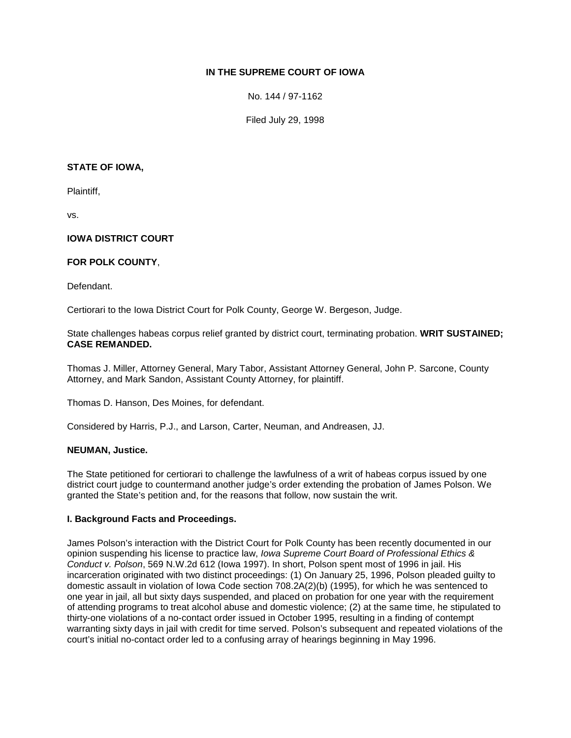# **IN THE SUPREME COURT OF IOWA**

No. 144 / 97-1162

Filed July 29, 1998

### **STATE OF IOWA,**

Plaintiff,

vs.

## **IOWA DISTRICT COURT**

## **FOR POLK COUNTY**,

Defendant.

Certiorari to the Iowa District Court for Polk County, George W. Bergeson, Judge.

State challenges habeas corpus relief granted by district court, terminating probation. **WRIT SUSTAINED; CASE REMANDED.**

Thomas J. Miller, Attorney General, Mary Tabor, Assistant Attorney General, John P. Sarcone, County Attorney, and Mark Sandon, Assistant County Attorney, for plaintiff.

Thomas D. Hanson, Des Moines, for defendant.

Considered by Harris, P.J., and Larson, Carter, Neuman, and Andreasen, JJ.

#### **NEUMAN, Justice.**

The State petitioned for certiorari to challenge the lawfulness of a writ of habeas corpus issued by one district court judge to countermand another judge's order extending the probation of James Polson. We granted the State's petition and, for the reasons that follow, now sustain the writ.

#### **I. Background Facts and Proceedings.**

James Polson's interaction with the District Court for Polk County has been recently documented in our opinion suspending his license to practice law, *Iowa Supreme Court Board of Professional Ethics & Conduct v. Polson*, 569 N.W.2d 612 (Iowa 1997). In short, Polson spent most of 1996 in jail. His incarceration originated with two distinct proceedings: (1) On January 25, 1996, Polson pleaded guilty to domestic assault in violation of Iowa Code section 708.2A(2)(b) (1995), for which he was sentenced to one year in jail, all but sixty days suspended, and placed on probation for one year with the requirement of attending programs to treat alcohol abuse and domestic violence; (2) at the same time, he stipulated to thirty-one violations of a no-contact order issued in October 1995, resulting in a finding of contempt warranting sixty days in jail with credit for time served. Polson's subsequent and repeated violations of the court's initial no-contact order led to a confusing array of hearings beginning in May 1996.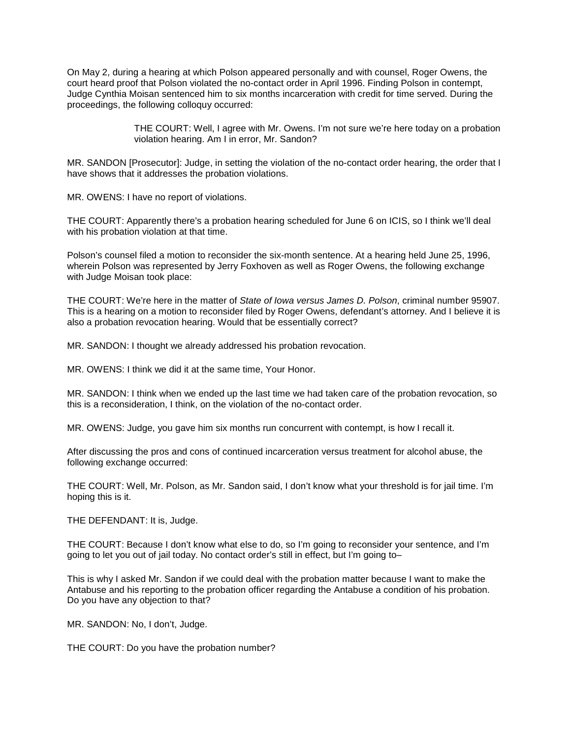On May 2, during a hearing at which Polson appeared personally and with counsel, Roger Owens, the court heard proof that Polson violated the no-contact order in April 1996. Finding Polson in contempt, Judge Cynthia Moisan sentenced him to six months incarceration with credit for time served. During the proceedings, the following colloquy occurred:

> THE COURT: Well, I agree with Mr. Owens. I'm not sure we're here today on a probation violation hearing. Am I in error, Mr. Sandon?

MR. SANDON [Prosecutor]: Judge, in setting the violation of the no-contact order hearing, the order that I have shows that it addresses the probation violations.

MR. OWENS: I have no report of violations.

THE COURT: Apparently there's a probation hearing scheduled for June 6 on ICIS, so I think we'll deal with his probation violation at that time.

Polson's counsel filed a motion to reconsider the six-month sentence. At a hearing held June 25, 1996, wherein Polson was represented by Jerry Foxhoven as well as Roger Owens, the following exchange with Judge Moisan took place:

THE COURT: We're here in the matter of *State of Iowa versus James D. Polson*, criminal number 95907. This is a hearing on a motion to reconsider filed by Roger Owens, defendant's attorney. And I believe it is also a probation revocation hearing. Would that be essentially correct?

MR. SANDON: I thought we already addressed his probation revocation.

MR. OWENS: I think we did it at the same time, Your Honor.

MR. SANDON: I think when we ended up the last time we had taken care of the probation revocation, so this is a reconsideration, I think, on the violation of the no-contact order.

MR. OWENS: Judge, you gave him six months run concurrent with contempt, is how I recall it.

After discussing the pros and cons of continued incarceration versus treatment for alcohol abuse, the following exchange occurred:

THE COURT: Well, Mr. Polson, as Mr. Sandon said, I don't know what your threshold is for jail time. I'm hoping this is it.

THE DEFENDANT: It is, Judge.

THE COURT: Because I don't know what else to do, so I'm going to reconsider your sentence, and I'm going to let you out of jail today. No contact order's still in effect, but I'm going to–

This is why I asked Mr. Sandon if we could deal with the probation matter because I want to make the Antabuse and his reporting to the probation officer regarding the Antabuse a condition of his probation. Do you have any objection to that?

MR. SANDON: No, I don't, Judge.

THE COURT: Do you have the probation number?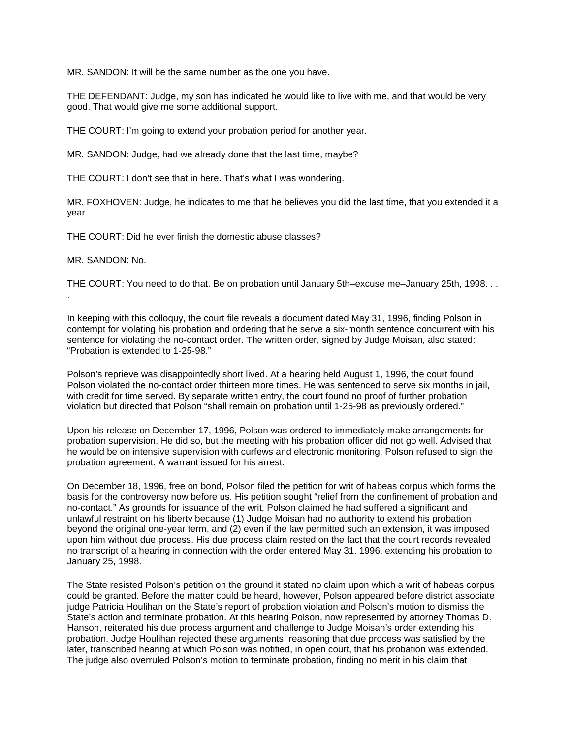MR. SANDON: It will be the same number as the one you have.

THE DEFENDANT: Judge, my son has indicated he would like to live with me, and that would be very good. That would give me some additional support.

THE COURT: I'm going to extend your probation period for another year.

MR. SANDON: Judge, had we already done that the last time, maybe?

THE COURT: I don't see that in here. That's what I was wondering.

MR. FOXHOVEN: Judge, he indicates to me that he believes you did the last time, that you extended it a year.

THE COURT: Did he ever finish the domestic abuse classes?

MR. SANDON: No.

.

THE COURT: You need to do that. Be on probation until January 5th–excuse me–January 25th, 1998. . .

In keeping with this colloquy, the court file reveals a document dated May 31, 1996, finding Polson in contempt for violating his probation and ordering that he serve a six-month sentence concurrent with his sentence for violating the no-contact order. The written order, signed by Judge Moisan, also stated: "Probation is extended to 1-25-98."

Polson's reprieve was disappointedly short lived. At a hearing held August 1, 1996, the court found Polson violated the no-contact order thirteen more times. He was sentenced to serve six months in jail, with credit for time served. By separate written entry, the court found no proof of further probation violation but directed that Polson "shall remain on probation until 1-25-98 as previously ordered."

Upon his release on December 17, 1996, Polson was ordered to immediately make arrangements for probation supervision. He did so, but the meeting with his probation officer did not go well. Advised that he would be on intensive supervision with curfews and electronic monitoring, Polson refused to sign the probation agreement. A warrant issued for his arrest.

On December 18, 1996, free on bond, Polson filed the petition for writ of habeas corpus which forms the basis for the controversy now before us. His petition sought "relief from the confinement of probation and no-contact." As grounds for issuance of the writ, Polson claimed he had suffered a significant and unlawful restraint on his liberty because (1) Judge Moisan had no authority to extend his probation beyond the original one-year term, and (2) even if the law permitted such an extension, it was imposed upon him without due process. His due process claim rested on the fact that the court records revealed no transcript of a hearing in connection with the order entered May 31, 1996, extending his probation to January 25, 1998.

The State resisted Polson's petition on the ground it stated no claim upon which a writ of habeas corpus could be granted. Before the matter could be heard, however, Polson appeared before district associate judge Patricia Houlihan on the State's report of probation violation and Polson's motion to dismiss the State's action and terminate probation. At this hearing Polson, now represented by attorney Thomas D. Hanson, reiterated his due process argument and challenge to Judge Moisan's order extending his probation. Judge Houlihan rejected these arguments, reasoning that due process was satisfied by the later, transcribed hearing at which Polson was notified, in open court, that his probation was extended. The judge also overruled Polson's motion to terminate probation, finding no merit in his claim that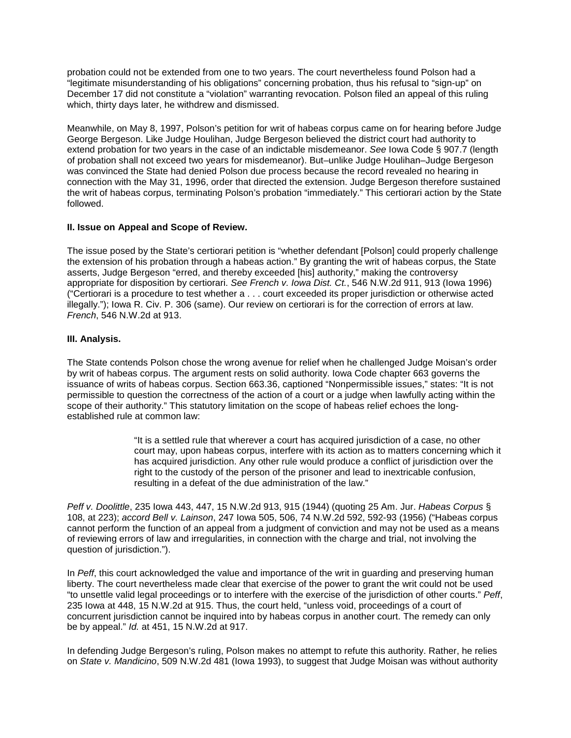probation could not be extended from one to two years. The court nevertheless found Polson had a "legitimate misunderstanding of his obligations" concerning probation, thus his refusal to "sign-up" on December 17 did not constitute a "violation" warranting revocation. Polson filed an appeal of this ruling which, thirty days later, he withdrew and dismissed.

Meanwhile, on May 8, 1997, Polson's petition for writ of habeas corpus came on for hearing before Judge George Bergeson. Like Judge Houlihan, Judge Bergeson believed the district court had authority to extend probation for two years in the case of an indictable misdemeanor. *See* Iowa Code § 907.7 (length of probation shall not exceed two years for misdemeanor). But–unlike Judge Houlihan–Judge Bergeson was convinced the State had denied Polson due process because the record revealed no hearing in connection with the May 31, 1996, order that directed the extension. Judge Bergeson therefore sustained the writ of habeas corpus, terminating Polson's probation "immediately." This certiorari action by the State followed.

## **II. Issue on Appeal and Scope of Review.**

The issue posed by the State's certiorari petition is "whether defendant [Polson] could properly challenge the extension of his probation through a habeas action." By granting the writ of habeas corpus, the State asserts, Judge Bergeson "erred, and thereby exceeded [his] authority," making the controversy appropriate for disposition by certiorari. *See French v. Iowa Dist. Ct.*, 546 N.W.2d 911, 913 (Iowa 1996) ("Certiorari is a procedure to test whether a . . . court exceeded its proper jurisdiction or otherwise acted illegally."); Iowa R. Civ. P. 306 (same). Our review on certiorari is for the correction of errors at law. *French*, 546 N.W.2d at 913.

## **III. Analysis.**

The State contends Polson chose the wrong avenue for relief when he challenged Judge Moisan's order by writ of habeas corpus. The argument rests on solid authority. Iowa Code chapter 663 governs the issuance of writs of habeas corpus. Section 663.36, captioned "Nonpermissible issues," states: "It is not permissible to question the correctness of the action of a court or a judge when lawfully acting within the scope of their authority." This statutory limitation on the scope of habeas relief echoes the longestablished rule at common law:

> "It is a settled rule that wherever a court has acquired jurisdiction of a case, no other court may, upon habeas corpus, interfere with its action as to matters concerning which it has acquired jurisdiction. Any other rule would produce a conflict of jurisdiction over the right to the custody of the person of the prisoner and lead to inextricable confusion, resulting in a defeat of the due administration of the law."

*Peff v. Doolittle*, 235 Iowa 443, 447, 15 N.W.2d 913, 915 (1944) (quoting 25 Am. Jur. *Habeas Corpus* § 108, at 223); *accord Bell v. Lainson*, 247 Iowa 505, 506, 74 N.W.2d 592, 592-93 (1956) ("Habeas corpus cannot perform the function of an appeal from a judgment of conviction and may not be used as a means of reviewing errors of law and irregularities, in connection with the charge and trial, not involving the question of jurisdiction.").

In *Peff*, this court acknowledged the value and importance of the writ in guarding and preserving human liberty. The court nevertheless made clear that exercise of the power to grant the writ could not be used "to unsettle valid legal proceedings or to interfere with the exercise of the jurisdiction of other courts." *Peff*, 235 Iowa at 448, 15 N.W.2d at 915. Thus, the court held, "unless void, proceedings of a court of concurrent jurisdiction cannot be inquired into by habeas corpus in another court. The remedy can only be by appeal." *Id.* at 451, 15 N.W.2d at 917.

In defending Judge Bergeson's ruling, Polson makes no attempt to refute this authority. Rather, he relies on *State v. Mandicino*, 509 N.W.2d 481 (Iowa 1993), to suggest that Judge Moisan was without authority